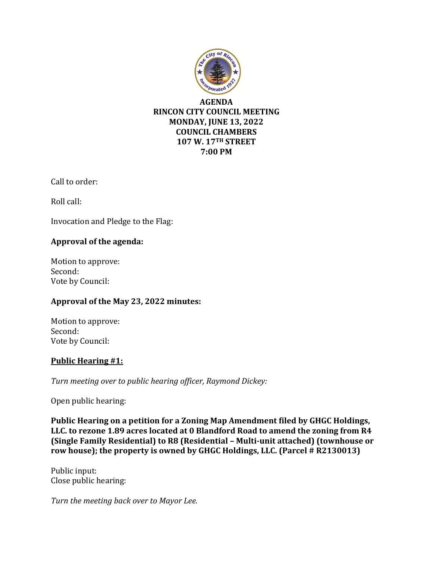

# **AGENDA RINCON CITY COUNCIL MEETING MONDAY, JUNE 13, 2022 COUNCIL CHAMBERS 107 W. 17TH STREET 7:00 PM**

Call to order:

Roll call:

Invocation and Pledge to the Flag:

# **Approval of the agenda:**

Motion to approve: Second: Vote by Council:

# **Approval of the May 23, 2022 minutes:**

Motion to approve: Second: Vote by Council:

# **Public Hearing #1:**

*Turn meeting over to public hearing officer, Raymond Dickey:*

Open public hearing:

**Public Hearing on a petition for a Zoning Map Amendment filed by GHGC Holdings, LLC. to rezone 1.89 acres located at 0 Blandford Road to amend the zoning from R4 (Single Family Residential) to R8 (Residential – Multi-unit attached) (townhouse or row house); the property is owned by GHGC Holdings, LLC. (Parcel # R2130013)**

Public input: Close public hearing:

*Turn the meeting back over to Mayor Lee.*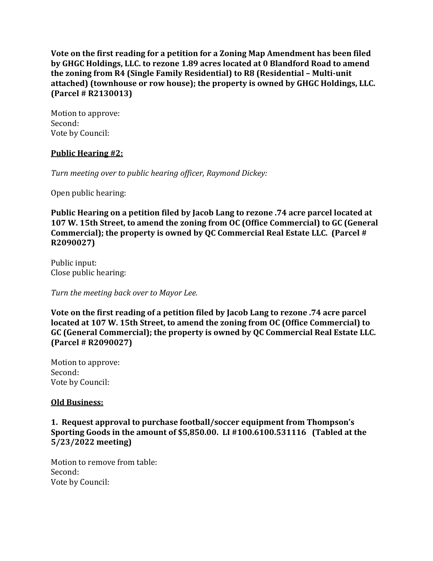**Vote on the first reading for a petition for a Zoning Map Amendment has been filed by GHGC Holdings, LLC. to rezone 1.89 acres located at 0 Blandford Road to amend the zoning from R4 (Single Family Residential) to R8 (Residential – Multi-unit attached) (townhouse or row house); the property is owned by GHGC Holdings, LLC. (Parcel # R2130013)**

Motion to approve: Second: Vote by Council:

# **Public Hearing #2:**

*Turn meeting over to public hearing officer, Raymond Dickey:*

Open public hearing:

**Public Hearing on a petition filed by Jacob Lang to rezone .74 acre parcel located at 107 W. 15th Street, to amend the zoning from OC (Office Commercial) to GC (General Commercial); the property is owned by QC Commercial Real Estate LLC. (Parcel # R2090027)**

Public input: Close public hearing:

*Turn the meeting back over to Mayor Lee.*

**Vote on the first reading of a petition filed by Jacob Lang to rezone .74 acre parcel located at 107 W. 15th Street, to amend the zoning from OC (Office Commercial) to GC (General Commercial); the property is owned by QC Commercial Real Estate LLC. (Parcel # R2090027)**

Motion to approve: Second: Vote by Council:

#### **Old Business:**

**1. Request approval to purchase football/soccer equipment from Thompson's Sporting Goods in the amount of \$5,850.00. LI #100.6100.531116 (Tabled at the 5/23/2022 meeting)**

Motion to remove from table: Second: Vote by Council: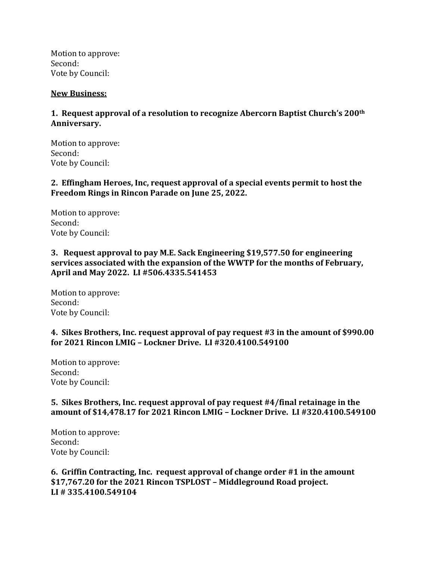Motion to approve: Second: Vote by Council:

#### **New Business:**

#### **1. Request approval of a resolution to recognize Abercorn Baptist Church's 200th Anniversary.**

Motion to approve: Second: Vote by Council:

**2. Effingham Heroes, Inc, request approval of a special events permit to host the Freedom Rings in Rincon Parade on June 25, 2022.** 

Motion to approve: Second: Vote by Council:

**3. Request approval to pay M.E. Sack Engineering \$19,577.50 for engineering services associated with the expansion of the WWTP for the months of February, April and May 2022. LI #506.4335.541453**

Motion to approve: Second: Vote by Council:

#### **4. Sikes Brothers, Inc. request approval of pay request #3 in the amount of \$990.00 for 2021 Rincon LMIG – Lockner Drive. LI #320.4100.549100**

Motion to approve: Second: Vote by Council:

#### **5. Sikes Brothers, Inc. request approval of pay request #4/final retainage in the amount of \$14,478.17 for 2021 Rincon LMIG – Lockner Drive. LI #320.4100.549100**

Motion to approve: Second: Vote by Council:

**6. Griffin Contracting, Inc. request approval of change order #1 in the amount \$17,767.20 for the 2021 Rincon TSPLOST – Middleground Road project. LI # 335.4100.549104**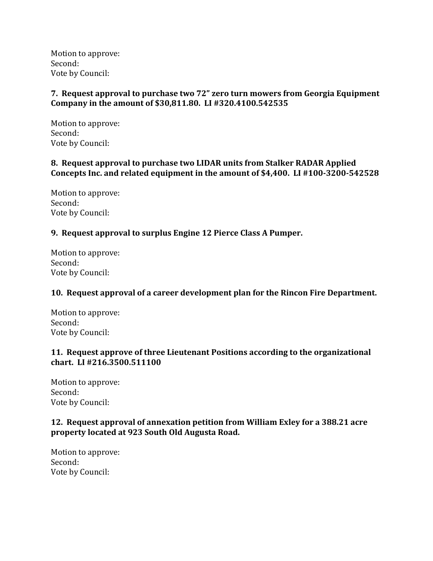Motion to approve: Second: Vote by Council:

# **7. Request approval to purchase two 72" zero turn mowers from Georgia Equipment Company in the amount of \$30,811.80. LI #320.4100.542535**

Motion to approve: Second: Vote by Council:

# **8. Request approval to purchase two LIDAR units from Stalker RADAR Applied Concepts Inc. and related equipment in the amount of \$4,400. LI #100-3200-542528**

Motion to approve: Second: Vote by Council:

# **9. Request approval to surplus Engine 12 Pierce Class A Pumper.**

Motion to approve: Second: Vote by Council:

# **10. Request approval of a career development plan for the Rincon Fire Department.**

Motion to approve: Second: Vote by Council:

# **11. Request approve of three Lieutenant Positions according to the organizational chart. LI #216.3500.511100**

Motion to approve: Second: Vote by Council:

# **12. Request approval of annexation petition from William Exley for a 388.21 acre property located at 923 South Old Augusta Road.**

Motion to approve: Second: Vote by Council: